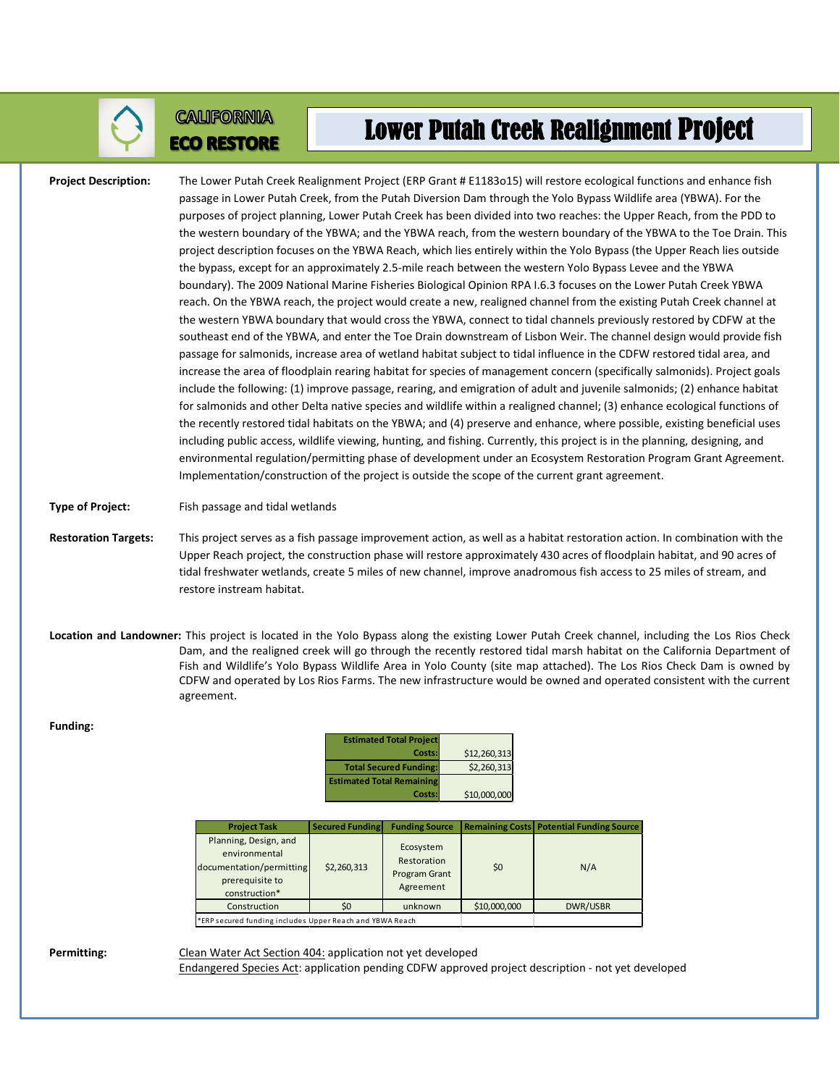

## **CALIFORNIA ECO RESTORE**

## Lower Putah Creek Realignment Project

**Project Description:** The Lower Putah Creek Realignment Project (ERP Grant # E1183o15) will restore ecological functions and enhance fish passage in Lower Putah Creek, from the Putah Diversion Dam through the Yolo Bypass Wildlife area (YBWA). For the purposes of project planning, Lower Putah Creek has been divided into two reaches: the Upper Reach, from the PDD to the western boundary of the YBWA; and the YBWA reach, from the western boundary of the YBWA to the Toe Drain. This project description focuses on the YBWA Reach, which lies entirely within the Yolo Bypass (the Upper Reach lies outside the bypass, except for an approximately 2.5-mile reach between the western Yolo Bypass Levee and the YBWA boundary). The 2009 National Marine Fisheries Biological Opinion RPA I.6.3 focuses on the Lower Putah Creek YBWA reach. On the YBWA reach, the project would create a new, realigned channel from the existing Putah Creek channel at the western YBWA boundary that would cross the YBWA, connect to tidal channels previously restored by CDFW at the southeast end of the YBWA, and enter the Toe Drain downstream of Lisbon Weir. The channel design would provide fish passage for salmonids, increase area of wetland habitat subject to tidal influence in the CDFW restored tidal area, and increase the area of floodplain rearing habitat for species of management concern (specifically salmonids). Project goals include the following: (1) improve passage, rearing, and emigration of adult and juvenile salmonids; (2) enhance habitat for salmonids and other Delta native species and wildlife within a realigned channel; (3) enhance ecological functions of the recently restored tidal habitats on the YBWA; and (4) preserve and enhance, where possible, existing beneficial uses including public access, wildlife viewing, hunting, and fishing. Currently, this project is in the planning, designing, and environmental regulation/permitting phase of development under an Ecosystem Restoration Program Grant Agreement. Implementation/construction of the project is outside the scope of the current grant agreement. **Type of Project:** Fish passage and tidal wetlands

**Restoration Targets:** This project serves as a fish passage improvement action, as well as a habitat restoration action. In combination with the Upper Reach project, the construction phase will restore approximately 430 acres of floodplain habitat, and 90 acres of tidal freshwater wetlands, create 5 miles of new channel, improve anadromous fish access to 25 miles of stream, and restore instream habitat.

**Location and Landowner:** This project is located in the Yolo Bypass along the existing Lower Putah Creek channel, including the Los Rios Check Dam, and the realigned creek will go through the recently restored tidal marsh habitat on the California Department of Fish and Wildlife's Yolo Bypass Wildlife Area in Yolo County (site map attached). The Los Rios Check Dam is owned by CDFW and operated by Los Rios Farms. The new infrastructure would be owned and operated consistent with the current agreement.

| <b>Estimated Total Project</b>   |              |
|----------------------------------|--------------|
| Costs:                           | \$12,260,313 |
| <b>Total Secured Funding:</b>    | \$2,260,313  |
| <b>Estimated Total Remaining</b> |              |
| Costs:                           | \$10,000,000 |

| <b>Project Task</b>                                                                                    | <b>Secured Funding</b> | <b>Funding Source</b>                                         |              | <b>Remaining Costs Potential Funding Source</b> |
|--------------------------------------------------------------------------------------------------------|------------------------|---------------------------------------------------------------|--------------|-------------------------------------------------|
| Planning, Design, and<br>environmental<br>documentation/permitting<br>prerequisite to<br>construction* | \$2,260,313            | Ecosystem<br>Restoration<br><b>Program Grant</b><br>Agreement | \$0          | N/A                                             |
| Construction                                                                                           | \$0                    | unknown                                                       | \$10,000,000 | <b>DWR/USBR</b>                                 |
| *ERP secured funding includes Upper Reach and YBWA Reach                                               |                        |                                                               |              |                                                 |

**Funding:**

Permitting: Clean Water Act Section 404: application not yet developed

Endangered Species Act: application pending CDFW approved project description - not yet developed